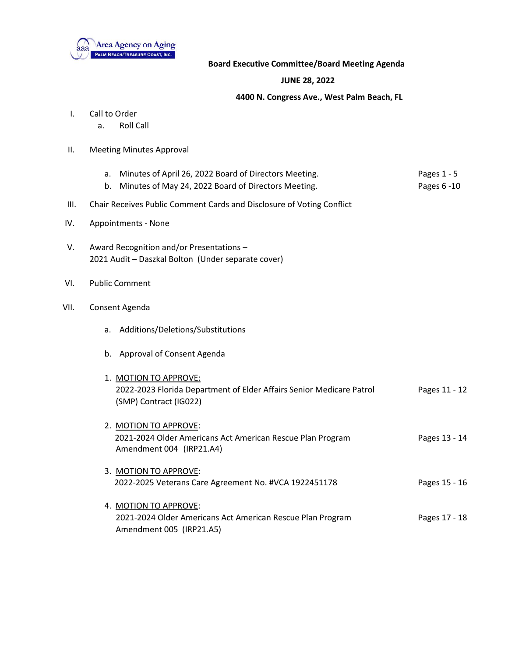

## **Board Executive Committee/Board Meeting Agenda**

## **JUNE 28, 2022**

## **4400 N. Congress Ave., West Palm Beach, FL**

- I. Call to Order
	- a. Roll Call
- II. Meeting Minutes Approval
	- a. Minutes of April 26, 2022 Board of Directors Meeting. Pages 1 5
	- b. Minutes of May 24, 2022 Board of Directors Meeting. The Mages 6-10 Pages 6-10
- III. Chair Receives Public Comment Cards and Disclosure of Voting Conflict
- IV. Appointments None
- V. Award Recognition and/or Presentations 2021 Audit – Daszkal Bolton (Under separate cover)
- VI. Public Comment
- VII. Consent Agenda
	- a. Additions/Deletions/Substitutions
	- b. Approval of Consent Agenda

| 1. MOTION TO APPROVE:<br>2022-2023 Florida Department of Elder Affairs Senior Medicare Patrol<br>(SMP) Contract (IG022) | Pages 11 - 12 |
|-------------------------------------------------------------------------------------------------------------------------|---------------|
| 2. MOTION TO APPROVE:<br>2021-2024 Older Americans Act American Rescue Plan Program<br>Amendment 004 (IRP21.A4)         | Pages 13 - 14 |
| 3. MOTION TO APPROVE:<br>2022-2025 Veterans Care Agreement No. #VCA 1922451178                                          | Pages 15 - 16 |
| 4. MOTION TO APPROVE:<br>2021-2024 Older Americans Act American Rescue Plan Program<br>Amendment 005 (IRP21.A5)         | Pages 17 - 18 |